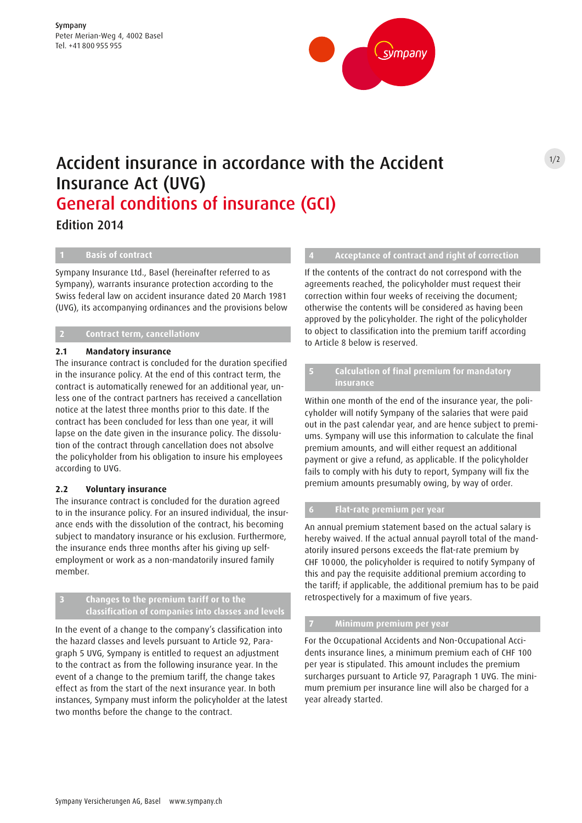

# Accident insurance in accordance with the Accident Insurance Act (UVG) General conditions of insurance (GCI)

Edition 2014

**1 Basis of contract**

Sympany Insurance Ltd., Basel (hereinafter referred to as Sympany), warrants insurance protection according to the Swiss federal law on accident insurance dated 20 March 1981 (UVG), its accompanying ordinances and the provisions below

# **2 Contract term, cancellationv**

#### **2.1 Mandatory insurance**

The insurance contract is concluded for the duration specified in the insurance policy. At the end of this contract term, the contract is automatically renewed for an additional year, unless one of the contract partners has received a cancellation notice at the latest three months prior to this date. If the contract has been concluded for less than one year, it will lapse on the date given in the insurance policy. The dissolution of the contract through cancellation does not absolve the policyholder from his obligation to insure his employees according to UVG.

#### **2.2 Voluntary insurance**

The insurance contract is concluded for the duration agreed to in the insurance policy. For an insured individual, the insurance ends with the dissolution of the contract, his becoming subject to mandatory insurance or his exclusion. Furthermore, the insurance ends three months after his giving up selfemployment or work as a non-mandatorily insured family member.

## **3 Changes to the premium tariff or to the classification of companies into classes and levels**

In the event of a change to the company's classification into the hazard classes and levels pursuant to Article 92, Paragraph 5 UVG, Sympany is entitled to request an adjustment to the contract as from the following insurance year. In the event of a change to the premium tariff, the change takes effect as from the start of the next insurance year. In both instances, Sympany must inform the policyholder at the latest two months before the change to the contract.

#### **4 Acceptance of contract and right of correction**

If the contents of the contract do not correspond with the agreements reached, the policyholder must request their correction within four weeks of receiving the document; otherwise the contents will be considered as having been approved by the policyholder. The right of the policyholder to object to classification into the premium tariff according to Article 8 below is reserved.

## **5 Calculation of final premium for mandatory insurance**

Within one month of the end of the insurance year, the policyholder will notify Sympany of the salaries that were paid out in the past calendar year, and are hence subject to premiums. Sympany will use this information to calculate the final premium amounts, and will either request an additional payment or give a refund, as applicable. If the policyholder fails to comply with his duty to report, Sympany will fix the premium amounts presumably owing, by way of order.

# **6 Flat-rate premium per year**

An annual premium statement based on the actual salary is hereby waived. If the actual annual payroll total of the mandatorily insured persons exceeds the flat-rate premium by CHF 10 000, the policyholder is required to notify Sympany of this and pay the requisite additional premium according to the tariff; if applicable, the additional premium has to be paid retrospectively for a maximum of five years.

#### **7 Minimum premium per year**

For the Occupational Accidents and Non-Occupational Accidents insurance lines, a minimum premium each of CHF 100 per year is stipulated. This amount includes the premium surcharges pursuant to Article 97, Paragraph 1 UVG. The minimum premium per insurance line will also be charged for a year already started.